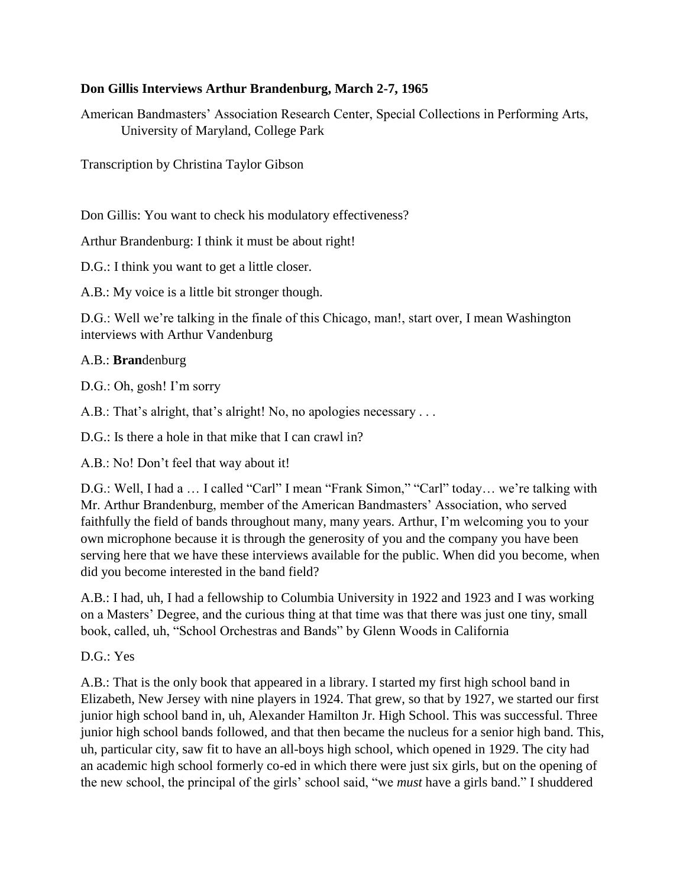### **Don Gillis Interviews Arthur Brandenburg, March 2-7, 1965**

American Bandmasters' Association Research Center, Special Collections in Performing Arts, University of Maryland, College Park

Transcription by Christina Taylor Gibson

Don Gillis: You want to check his modulatory effectiveness?

Arthur Brandenburg: I think it must be about right!

D.G.: I think you want to get a little closer.

A.B.: My voice is a little bit stronger though.

D.G.: Well we're talking in the finale of this Chicago, man!, start over, I mean Washington interviews with Arthur Vandenburg

## A.B.: **Bran**denburg

D.G.: Oh, gosh! I'm sorry

A.B.: That's alright, that's alright! No, no apologies necessary ...

D.G.: Is there a hole in that mike that I can crawl in?

A.B.: No! Don't feel that way about it!

D.G.: Well, I had a … I called "Carl" I mean "Frank Simon," "Carl" today… we're talking with Mr. Arthur Brandenburg, member of the American Bandmasters' Association, who served faithfully the field of bands throughout many, many years. Arthur, I'm welcoming you to your own microphone because it is through the generosity of you and the company you have been serving here that we have these interviews available for the public. When did you become, when did you become interested in the band field?

A.B.: I had, uh, I had a fellowship to Columbia University in 1922 and 1923 and I was working on a Masters' Degree, and the curious thing at that time was that there was just one tiny, small book, called, uh, "School Orchestras and Bands" by Glenn Woods in California

D.G.: Yes

A.B.: That is the only book that appeared in a library. I started my first high school band in Elizabeth, New Jersey with nine players in 1924. That grew, so that by 1927, we started our first junior high school band in, uh, Alexander Hamilton Jr. High School. This was successful. Three junior high school bands followed, and that then became the nucleus for a senior high band. This, uh, particular city, saw fit to have an all-boys high school, which opened in 1929. The city had an academic high school formerly co-ed in which there were just six girls, but on the opening of the new school, the principal of the girls' school said, "we *must* have a girls band." I shuddered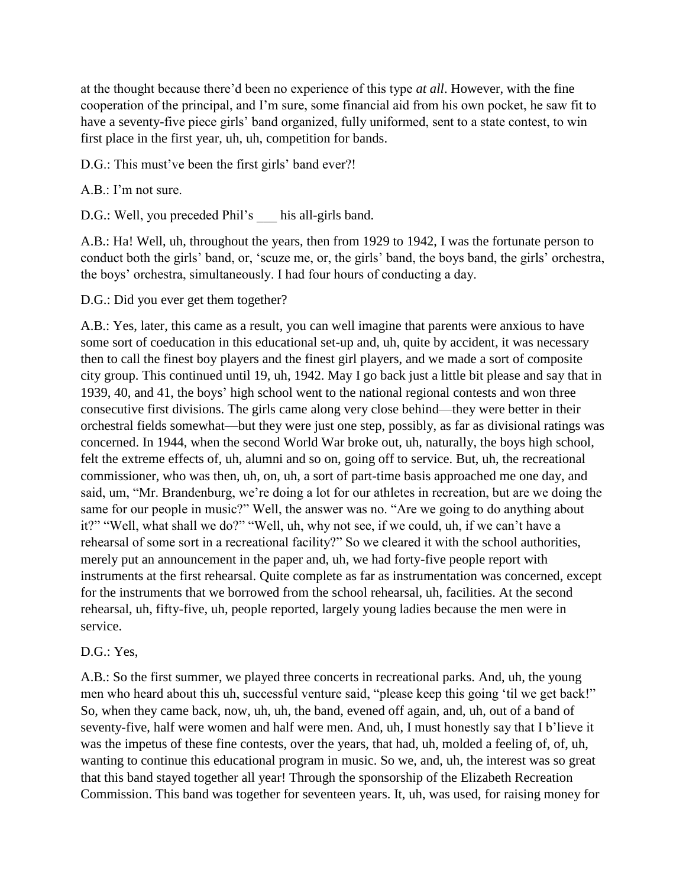at the thought because there'd been no experience of this type *at all*. However, with the fine cooperation of the principal, and I'm sure, some financial aid from his own pocket, he saw fit to have a seventy-five piece girls' band organized, fully uniformed, sent to a state contest, to win first place in the first year, uh, uh, competition for bands.

D.G.: This must've been the first girls' band ever?!

A.B.: I'm not sure.

D.G.: Well, you preceded Phil's his all-girls band.

A.B.: Ha! Well, uh, throughout the years, then from 1929 to 1942, I was the fortunate person to conduct both the girls' band, or, 'scuze me, or, the girls' band, the boys band, the girls' orchestra, the boys' orchestra, simultaneously. I had four hours of conducting a day.

D.G.: Did you ever get them together?

A.B.: Yes, later, this came as a result, you can well imagine that parents were anxious to have some sort of coeducation in this educational set-up and, uh, quite by accident, it was necessary then to call the finest boy players and the finest girl players, and we made a sort of composite city group. This continued until 19, uh, 1942. May I go back just a little bit please and say that in 1939, 40, and 41, the boys' high school went to the national regional contests and won three consecutive first divisions. The girls came along very close behind—they were better in their orchestral fields somewhat—but they were just one step, possibly, as far as divisional ratings was concerned. In 1944, when the second World War broke out, uh, naturally, the boys high school, felt the extreme effects of, uh, alumni and so on, going off to service. But, uh, the recreational commissioner, who was then, uh, on, uh, a sort of part-time basis approached me one day, and said, um, "Mr. Brandenburg, we're doing a lot for our athletes in recreation, but are we doing the same for our people in music?" Well, the answer was no. "Are we going to do anything about it?" "Well, what shall we do?" "Well, uh, why not see, if we could, uh, if we can't have a rehearsal of some sort in a recreational facility?" So we cleared it with the school authorities, merely put an announcement in the paper and, uh, we had forty-five people report with instruments at the first rehearsal. Quite complete as far as instrumentation was concerned, except for the instruments that we borrowed from the school rehearsal, uh, facilities. At the second rehearsal, uh, fifty-five, uh, people reported, largely young ladies because the men were in service.

#### D.G.: Yes.

A.B.: So the first summer, we played three concerts in recreational parks. And, uh, the young men who heard about this uh, successful venture said, "please keep this going 'til we get back!" So, when they came back, now, uh, uh, the band, evened off again, and, uh, out of a band of seventy-five, half were women and half were men. And, uh, I must honestly say that I b'lieve it was the impetus of these fine contests, over the years, that had, uh, molded a feeling of, of, uh, wanting to continue this educational program in music. So we, and, uh, the interest was so great that this band stayed together all year! Through the sponsorship of the Elizabeth Recreation Commission. This band was together for seventeen years. It, uh, was used, for raising money for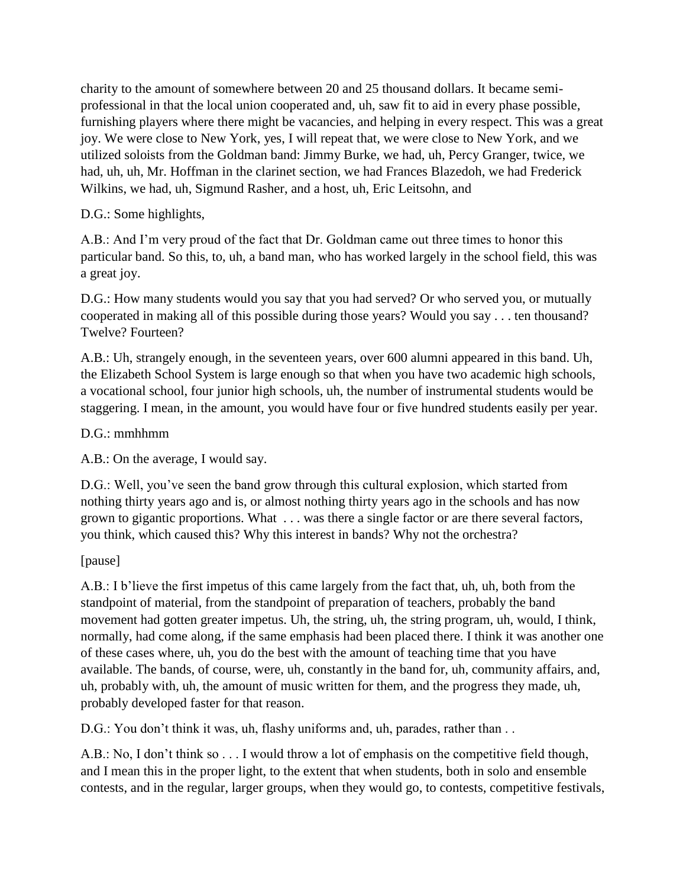charity to the amount of somewhere between 20 and 25 thousand dollars. It became semiprofessional in that the local union cooperated and, uh, saw fit to aid in every phase possible, furnishing players where there might be vacancies, and helping in every respect. This was a great joy. We were close to New York, yes, I will repeat that, we were close to New York, and we utilized soloists from the Goldman band: Jimmy Burke, we had, uh, Percy Granger, twice, we had, uh, uh, Mr. Hoffman in the clarinet section, we had Frances Blazedoh, we had Frederick Wilkins, we had, uh, Sigmund Rasher, and a host, uh, Eric Leitsohn, and

## D.G.: Some highlights,

A.B.: And I'm very proud of the fact that Dr. Goldman came out three times to honor this particular band. So this, to, uh, a band man, who has worked largely in the school field, this was a great joy.

D.G.: How many students would you say that you had served? Or who served you, or mutually cooperated in making all of this possible during those years? Would you say . . . ten thousand? Twelve? Fourteen?

A.B.: Uh, strangely enough, in the seventeen years, over 600 alumni appeared in this band. Uh, the Elizabeth School System is large enough so that when you have two academic high schools, a vocational school, four junior high schools, uh, the number of instrumental students would be staggering. I mean, in the amount, you would have four or five hundred students easily per year.

## D.G.: mmhhmm

A.B.: On the average, I would say.

D.G.: Well, you've seen the band grow through this cultural explosion, which started from nothing thirty years ago and is, or almost nothing thirty years ago in the schools and has now grown to gigantic proportions. What . . . was there a single factor or are there several factors, you think, which caused this? Why this interest in bands? Why not the orchestra?

# [pause]

A.B.: I b'lieve the first impetus of this came largely from the fact that, uh, uh, both from the standpoint of material, from the standpoint of preparation of teachers, probably the band movement had gotten greater impetus. Uh, the string, uh, the string program, uh, would, I think, normally, had come along, if the same emphasis had been placed there. I think it was another one of these cases where, uh, you do the best with the amount of teaching time that you have available. The bands, of course, were, uh, constantly in the band for, uh, community affairs, and, uh, probably with, uh, the amount of music written for them, and the progress they made, uh, probably developed faster for that reason.

D.G.: You don't think it was, uh, flashy uniforms and, uh, parades, rather than ..

A.B.: No, I don't think so . . . I would throw a lot of emphasis on the competitive field though, and I mean this in the proper light, to the extent that when students, both in solo and ensemble contests, and in the regular, larger groups, when they would go, to contests, competitive festivals,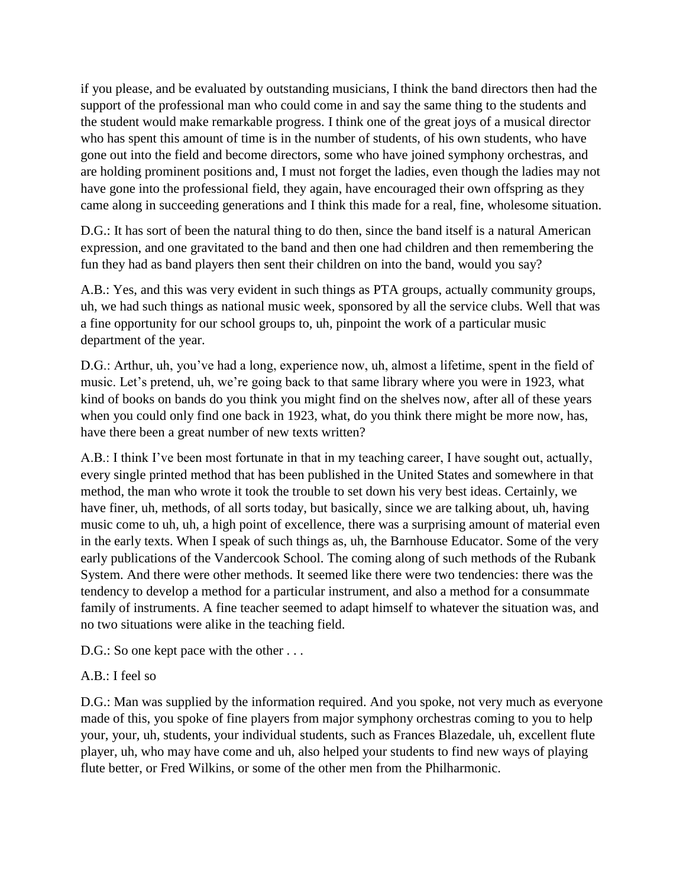if you please, and be evaluated by outstanding musicians, I think the band directors then had the support of the professional man who could come in and say the same thing to the students and the student would make remarkable progress. I think one of the great joys of a musical director who has spent this amount of time is in the number of students, of his own students, who have gone out into the field and become directors, some who have joined symphony orchestras, and are holding prominent positions and, I must not forget the ladies, even though the ladies may not have gone into the professional field, they again, have encouraged their own offspring as they came along in succeeding generations and I think this made for a real, fine, wholesome situation.

D.G.: It has sort of been the natural thing to do then, since the band itself is a natural American expression, and one gravitated to the band and then one had children and then remembering the fun they had as band players then sent their children on into the band, would you say?

A.B.: Yes, and this was very evident in such things as PTA groups, actually community groups, uh, we had such things as national music week, sponsored by all the service clubs. Well that was a fine opportunity for our school groups to, uh, pinpoint the work of a particular music department of the year.

D.G.: Arthur, uh, you've had a long, experience now, uh, almost a lifetime, spent in the field of music. Let's pretend, uh, we're going back to that same library where you were in 1923, what kind of books on bands do you think you might find on the shelves now, after all of these years when you could only find one back in 1923, what, do you think there might be more now, has, have there been a great number of new texts written?

A.B.: I think I've been most fortunate in that in my teaching career, I have sought out, actually, every single printed method that has been published in the United States and somewhere in that method, the man who wrote it took the trouble to set down his very best ideas. Certainly, we have finer, uh, methods, of all sorts today, but basically, since we are talking about, uh, having music come to uh, uh, a high point of excellence, there was a surprising amount of material even in the early texts. When I speak of such things as, uh, the Barnhouse Educator. Some of the very early publications of the Vandercook School. The coming along of such methods of the Rubank System. And there were other methods. It seemed like there were two tendencies: there was the tendency to develop a method for a particular instrument, and also a method for a consummate family of instruments. A fine teacher seemed to adapt himself to whatever the situation was, and no two situations were alike in the teaching field.

D.G.: So one kept pace with the other ...

# A.B.: I feel so

D.G.: Man was supplied by the information required. And you spoke, not very much as everyone made of this, you spoke of fine players from major symphony orchestras coming to you to help your, your, uh, students, your individual students, such as Frances Blazedale, uh, excellent flute player, uh, who may have come and uh, also helped your students to find new ways of playing flute better, or Fred Wilkins, or some of the other men from the Philharmonic.